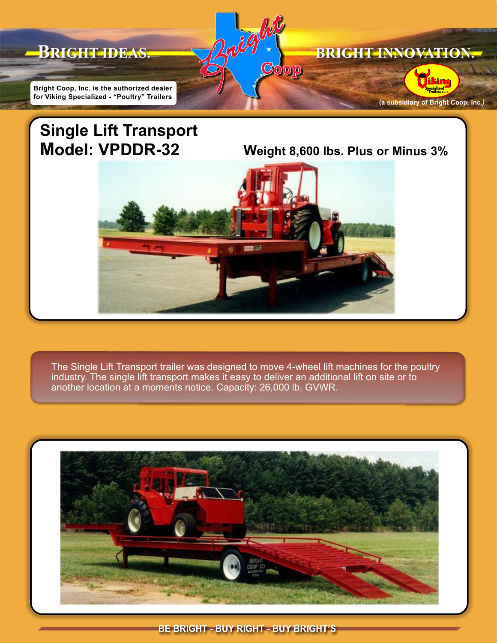

## **Single Lift Transport Model: VPDDR-32 Weight 8,600 lbs. Plus or Minus 3%**



The Single Lift Transport trailer was designed to move 4-wheel lift machines for the poultry industry. The single lift transport makes it easy to deliver an additional lift on site or to another location at a moments notice. Capacity: 26,000 lb. GVWR.



**BE BRIGHT - BUY RIGHT - BUY BRIGHT'S**